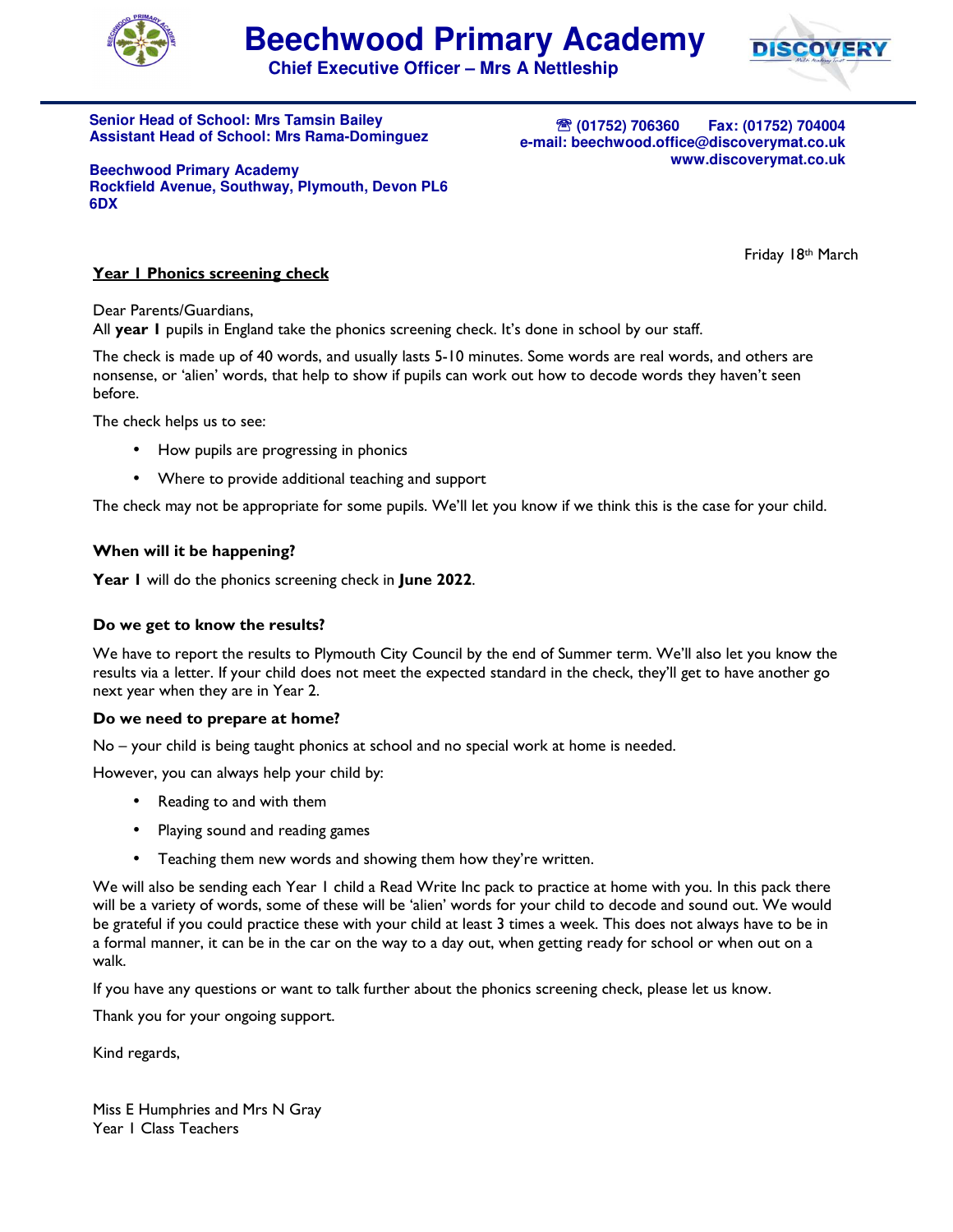



**Chief Executive Officer – Mrs A Nettleship**

**Senior Head of School: Mrs Tamsin Bailey Assistant Head of School: Mrs Rama-Dominguez** 

℡ **(01752) 706360 Fax: (01752) 704004 e-mail: beechwood.office@discoverymat.co.uk www.discoverymat.co.uk**

**Beechwood Primary Academy Rockfield Avenue, Southway, Plymouth, Devon PL6 6DX** 

Friday 18th March

## **Year 1 Phonics screening check**

Dear Parents/Guardians,

All **year 1** pupils in England take the phonics screening check. It's done in school by our staff.

The check is made up of 40 words, and usually lasts 5-10 minutes. Some words are real words, and others are nonsense, or 'alien' words, that help to show if pupils can work out how to decode words they haven't seen before.

The check helps us to see:

- How pupils are progressing in phonics
- Where to provide additional teaching and support

The check may not be appropriate for some pupils. We'll let you know if we think this is the case for your child.

### **When will it be happening?**

**Year 1** will do the phonics screening check in **June 2022**.

#### **Do we get to know the results?**

We have to report the results to Plymouth City Council by the end of Summer term. We'll also let you know the results via a letter. If your child does not meet the expected standard in the check, they'll get to have another go next year when they are in Year 2.

#### **Do we need to prepare at home?**

No – your child is being taught phonics at school and no special work at home is needed.

However, you can always help your child by:

- Reading to and with them
- Playing sound and reading games
- Teaching them new words and showing them how they're written.

We will also be sending each Year 1 child a Read Write Inc pack to practice at home with you. In this pack there will be a variety of words, some of these will be 'alien' words for your child to decode and sound out. We would be grateful if you could practice these with your child at least 3 times a week. This does not always have to be in a formal manner, it can be in the car on the way to a day out, when getting ready for school or when out on a walk.

If you have any questions or want to talk further about the phonics screening check, please let us know.

Thank you for your ongoing support.

Kind regards,

Miss E Humphries and Mrs N Gray Year 1 Class Teachers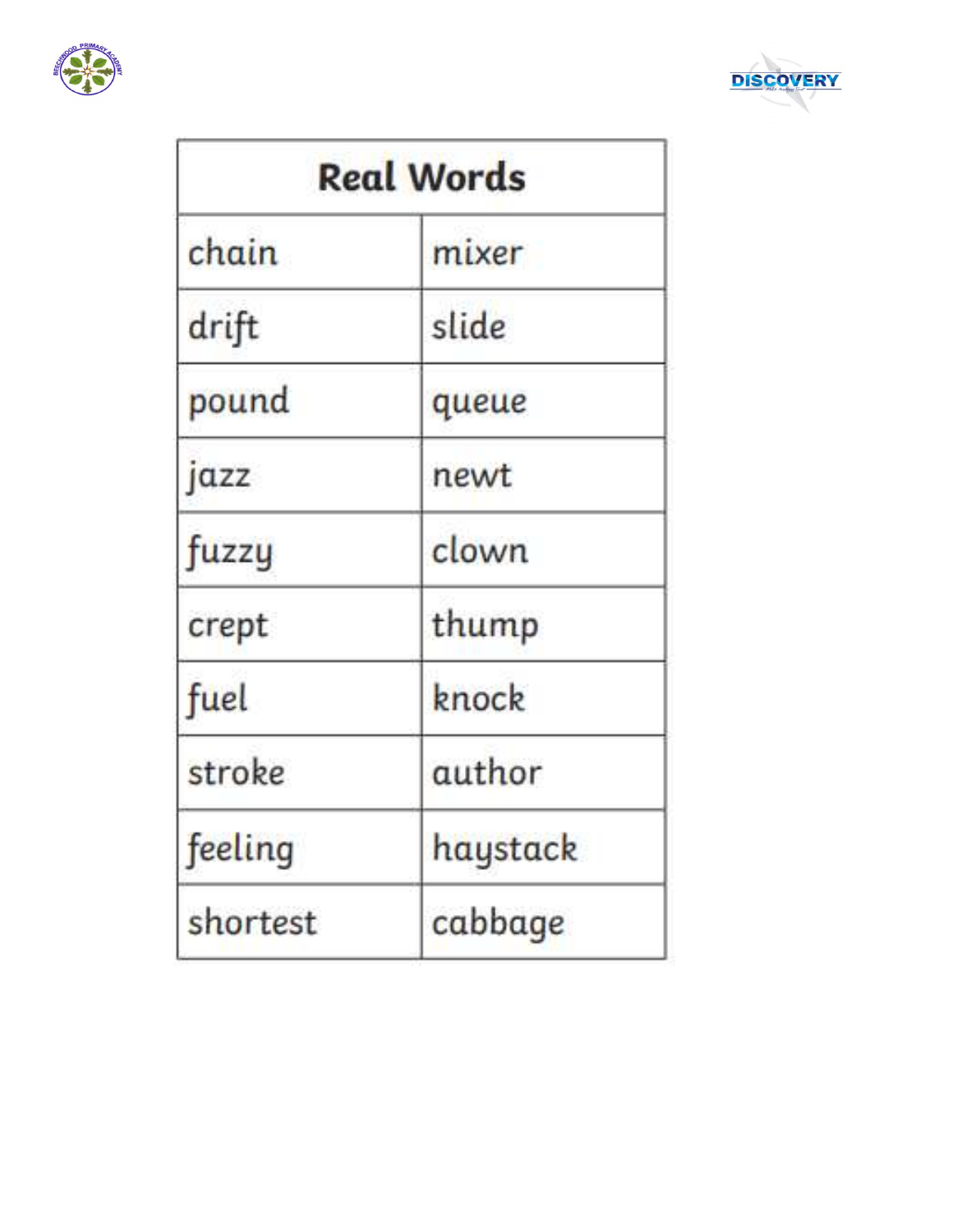



| <b>Real Words</b> |          |  |  |
|-------------------|----------|--|--|
| chain             | mixer    |  |  |
| drift             | slide    |  |  |
| pound             | queue    |  |  |
| jazz              | newt     |  |  |
| fuzzy             | clown    |  |  |
| crept             | thump    |  |  |
| fuel              | knock    |  |  |
| stroke            | author   |  |  |
| feeling           | haystack |  |  |
| shortest          | cabbage  |  |  |